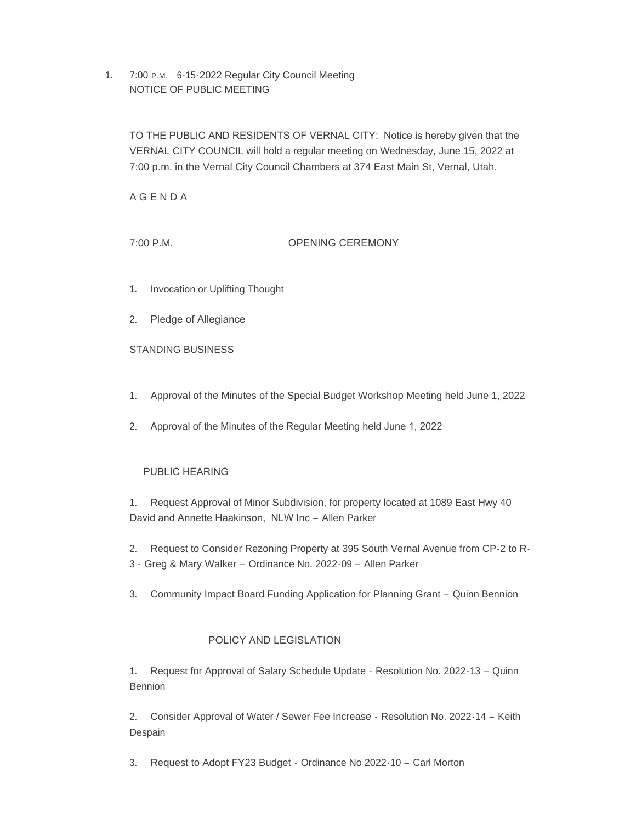1. 7:00 P.M. 6-15-2022 Regular City Council Meeting NOTICE OF PUBLIC MEETING

TO THE PUBLIC AND RESIDENTS OF VERNAL CITY: Notice is hereby given that the VERNAL CITY COUNCIL will hold a regular meeting on Wednesday, June 15, 2022 at 7:00 p.m. in the Vernal City Council Chambers at 374 East Main St, Vernal, Utah.

A G E N D A

7:00 P.M. OPENING CEREMONY

- 1. Invocation or Uplifting Thought
- 2. Pledge of Allegiance

STANDING BUSINESS

1. Approval of the Minutes of the Special Budget Workshop Meeting held June 1, 2022

2. Approval of the Minutes of the Regular Meeting held June 1, 2022

## PUBLIC HEARING

1. Request Approval of Minor Subdivision, for property located at 1089 East Hwy 40 David and Annette Haakinson, NLW Inc – Allen Parker

- 2. Request to Consider Rezoning Property at 395 South Vernal Avenue from CP-2 to R-
- 3 Greg & Mary Walker Ordinance No. 2022-09 Allen Parker
- 3. Community Impact Board Funding Application for Planning Grant Quinn Bennion

# POLICY AND LEGISLATION

1. Request for Approval of Salary Schedule Update - Resolution No. 2022-13 – Quinn Bennion

2. Consider Approval of Water / Sewer Fee Increase - Resolution No. 2022-14 – Keith Despain

3. Request to Adopt FY23 Budget - Ordinance No 2022-10 – Carl Morton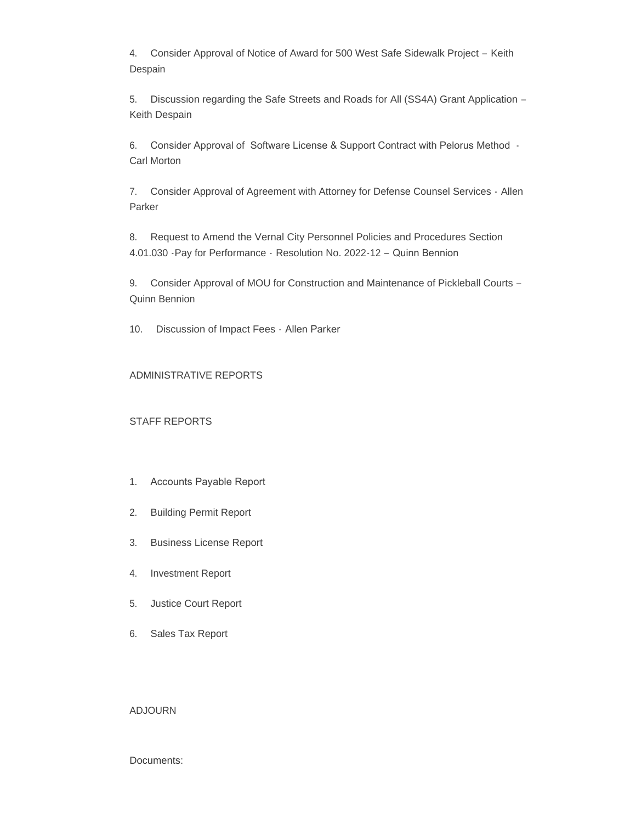4. Consider Approval of Notice of Award for 500 West Safe Sidewalk Project – Keith Despain

5. Discussion regarding the Safe Streets and Roads for All (SS4A) Grant Application – Keith Despain

6. Consider Approval of Software License & Support Contract with Pelorus Method - Carl Morton

7. Consider Approval of Agreement with Attorney for Defense Counsel Services - Allen Parker

8. Request to Amend the Vernal City Personnel Policies and Procedures Section 4.01.030 -Pay for Performance - Resolution No. 2022-12 – Quinn Bennion

9. Consider Approval of MOU for Construction and Maintenance of Pickleball Courts – Quinn Bennion

10. Discussion of Impact Fees - Allen Parker

## ADMINISTRATIVE REPORTS

## STAFF REPORTS

- 1. Accounts Payable Report
- 2. Building Permit Report
- 3. Business License Report
- 4. Investment Report
- 5. Justice Court Report
- 6. Sales Tax Report

### ADJOURN

### Documents: